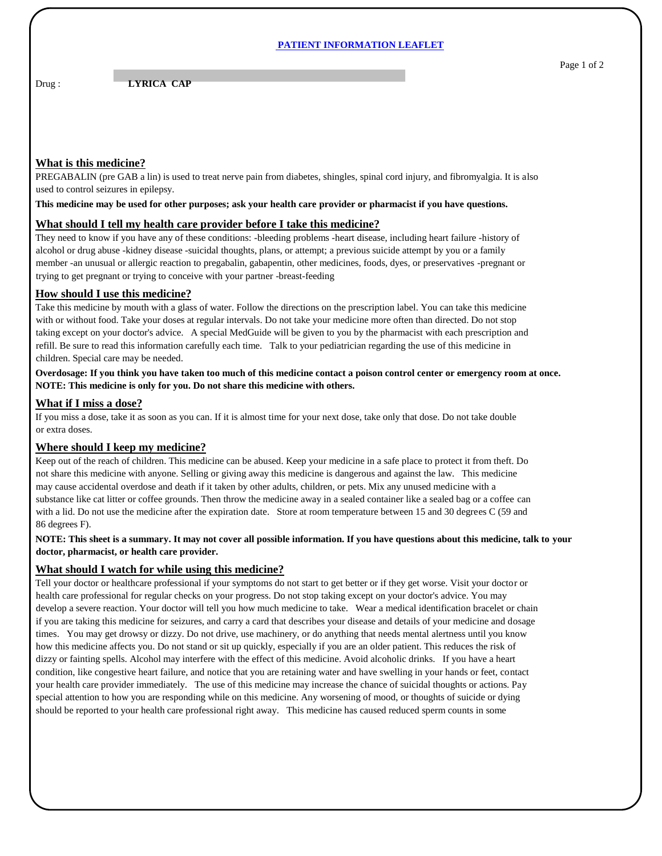#### **PATIENT INFORMATION LEAFLET**

## Drug : **LYRICA CAP**

# **What is this medicine?**

PREGABALIN (pre GAB a lin) is used to treat nerve pain from diabetes, shingles, spinal cord injury, and fibromyalgia. It is also used to control seizures in epilepsy.

#### **This medicine may be used for other purposes; ask your health care provider or pharmacist if you have questions.**

# **What should I tell my health care provider before I take this medicine?**

They need to know if you have any of these conditions: -bleeding problems -heart disease, including heart failure -history of alcohol or drug abuse -kidney disease -suicidal thoughts, plans, or attempt; a previous suicide attempt by you or a family member -an unusual or allergic reaction to pregabalin, gabapentin, other medicines, foods, dyes, or preservatives -pregnant or trying to get pregnant or trying to conceive with your partner -breast-feeding

# **How should I use this medicine?**

Take this medicine by mouth with a glass of water. Follow the directions on the prescription label. You can take this medicine with or without food. Take your doses at regular intervals. Do not take your medicine more often than directed. Do not stop taking except on your doctor's advice. A special MedGuide will be given to you by the pharmacist with each prescription and refill. Be sure to read this information carefully each time. Talk to your pediatrician regarding the use of this medicine in children. Special care may be needed.

**Overdosage: If you think you have taken too much of this medicine contact a poison control center or emergency room at once. NOTE: This medicine is only for you. Do not share this medicine with others.**

#### **What if I miss a dose?**

If you miss a dose, take it as soon as you can. If it is almost time for your next dose, take only that dose. Do not take double or extra doses.

# **Where should I keep my medicine?**

Keep out of the reach of children. This medicine can be abused. Keep your medicine in a safe place to protect it from theft. Do not share this medicine with anyone. Selling or giving away this medicine is dangerous and against the law. This medicine may cause accidental overdose and death if it taken by other adults, children, or pets. Mix any unused medicine with a substance like cat litter or coffee grounds. Then throw the medicine away in a sealed container like a sealed bag or a coffee can with a lid. Do not use the medicine after the expiration date. Store at room temperature between 15 and 30 degrees C (59 and 86 degrees F).

## **NOTE: This sheet is a summary. It may not cover all possible information. If you have questions about this medicine, talk to your doctor, pharmacist, or health care provider.**

#### **What should I watch for while using this medicine?**

Tell your doctor or healthcare professional if your symptoms do not start to get better or if they get worse. Visit your doctor or health care professional for regular checks on your progress. Do not stop taking except on your doctor's advice. You may develop a severe reaction. Your doctor will tell you how much medicine to take. Wear a medical identification bracelet or chain if you are taking this medicine for seizures, and carry a card that describes your disease and details of your medicine and dosage times. You may get drowsy or dizzy. Do not drive, use machinery, or do anything that needs mental alertness until you know how this medicine affects you. Do not stand or sit up quickly, especially if you are an older patient. This reduces the risk of dizzy or fainting spells. Alcohol may interfere with the effect of this medicine. Avoid alcoholic drinks. If you have a heart condition, like congestive heart failure, and notice that you are retaining water and have swelling in your hands or feet, contact your health care provider immediately. The use of this medicine may increase the chance of suicidal thoughts or actions. Pay special attention to how you are responding while on this medicine. Any worsening of mood, or thoughts of suicide or dying should be reported to your health care professional right away. This medicine has caused reduced sperm counts in some